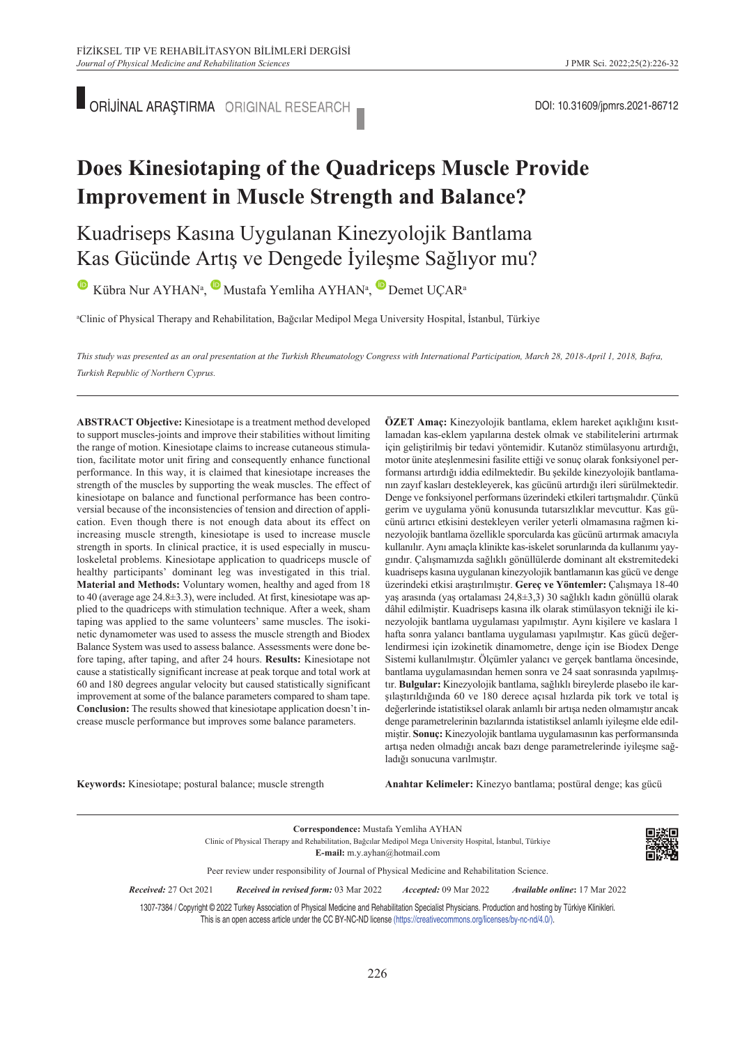■ ORİJİNAL ARAŞTIRMA ORIGINAL RESEARCH ■ CONSTRUCTED DOI: 10.31609/jpmrs.2021-86712

# **Does Kinesiotaping of the Quadriceps Muscle Provide Improvement in Muscle Strength and Balance?**

Kuadriseps Kasına Uygulanan Kinezyolojik Bantlama Kas Gücünde Artış ve Dengede İyileşme Sağlıyor mu?

KübraNur AYHAN<sup>a</sup>, Mustafa Yemliha AYHAN<sup>a</sup>, Demet UÇAR<sup>a</sup>

a Clinic of Physical Therapy and Rehabilitation, Bağcılar Medipol Mega University Hospital, İstanbul, Türkiye

*This study was presented as an oral presentation at the Turkish Rheumatology Congress with International Participation, March 28, 2018-April 1, 2018, Bafra, Turkish Republic of Northern Cyprus.* 

**ABS TRACT Objective:** Kinesiotape is a treatment method developed to support muscles-joints and improve their stabilities without limiting the range of motion. Kinesiotape claims to increase cutaneous stimulation, facilitate motor unit firing and consequently enhance functional performance. In this way, it is claimed that kinesiotape increases the strength of the muscles by supporting the weak muscles. The effect of kinesiotape on balance and functional performance has been controversial because of the inconsistencies of tension and direction of application. Even though there is not enough data about its effect on increasing muscle strength, kinesiotape is used to increase muscle strength in sports. In clinical practice, it is used especially in musculoskeletal problems. Kinesiotape application to quadriceps muscle of healthy participants' dominant leg was investigated in this trial. **Material and Methods:** Voluntary women, healthy and aged from 18 to 40 (average age 24.8±3.3), were included. At first, kinesiotape was applied to the quadriceps with stimulation technique. After a week, sham taping was applied to the same volunteers' same muscles. The isokinetic dynamometer was used to assess the muscle strength and Biodex Balance System was used to assess balance. Assessments were done before taping, after taping, and after 24 hours. **Results:** Kinesiotape not cause a statistically significant increase at peak torque and total work at 60 and 180 degrees angular velocity but caused statistically significant improvement at some of the balance parameters compared to sham tape. **Conclusion:** The results showed that kinesiotape application doesn't increase muscle performance but improves some balance parameters.

**ÖZET Amaç:** Kinezyolojik bantlama, eklem hareket açıklığını kısıtlamadan kas-eklem yapılarına destek olmak ve stabilitelerini artırmak için geliştirilmiş bir tedavi yöntemidir. Kutanöz stimülasyonu artırdığı, motor ünite ateşlenmesini fasilite ettiği ve sonuç olarak fonksiyonel performansı artırdığı iddia edilmektedir. Bu şekilde kinezyolojik bantlamanın zayıf kasları destekleyerek, kas gücünü artırdığı ileri sürülmektedir. Denge ve fonksiyonel performans üzerindeki etkileri tartışmalıdır. Çünkü gerim ve uygulama yönü konusunda tutarsızlıklar mevcuttur. Kas gücünü artırıcı etkisini destekleyen veriler yeterli olmamasına rağmen kinezyolojik bantlama özellikle sporcularda kas gücünü artırmak amacıyla kullanılır. Aynı amaçla klinikte kas-iskelet sorunlarında da kullanımı yaygındır. Çalışmamızda sağlıklı gönüllülerde dominant alt ekstremitedeki kuadriseps kasına uygulanan kinezyolojik bantlamanın kas gücü ve denge üzerindeki etkisi araştırılmıştır. **Gereç ve Yöntemler:** Çalışmaya 18-40 yaş arasında (yaş ortalaması 24,8±3,3) 30 sağlıklı kadın gönüllü olarak dâhil edilmiştir. Kuadriseps kasına ilk olarak stimülasyon tekniği ile kinezyolojik bantlama uygulaması yapılmıştır. Aynı kişilere ve kaslara 1 hafta sonra yalancı bantlama uygulaması yapılmıştır. Kas gücü değerlendirmesi için izokinetik dinamometre, denge için ise Biodex Denge Sistemi kullanılmıştır. Ölçümler yalancı ve gerçek bantlama öncesinde, bantlama uygulamasından hemen sonra ve 24 saat sonrasında yapılmıştır. **Bulgular:** Kinezyolojik bantlama, sağlıklı bireylerde plasebo ile karşılaştırıldığında 60 ve 180 derece açısal hızlarda pik tork ve total iş değerlerinde istatistiksel olarak anlamlı bir artışa neden olmamıştır ancak denge parametrelerinin bazılarında istatistiksel anlamlı iyileşme elde edilmiştir. **Sonuç:** Kinezyolojik bantlama uygulamasının kas performansında artışa neden olmadığı ancak bazı denge parametrelerinde iyileşme sağladığı sonucuna varılmıştır.

**Keywords:** Kinesiotape; postural balance; muscle strength

Anahtar Kelimeler: Kinezyo bantlama; postüral denge; kas gücü

**Correspondence:** Mustafa Yemliha AYHAN Clinic of Physical Therapy and Rehabilitation, Bağcılar Medipol Mega University Hospital, İstanbul, Türkiye **E-mail:** m.y.ayhan@hotmail.com



Peer review under responsibility of Journal of Physical Medicine and Rehabilitation Science.

*Re ce i ved:* 27 Oct 2021 *Received in revised form:* 03 Mar 2022 *Ac cep ted:* 09 Mar 2022 *Available online***:** 17 Mar 2022

1307-7384 / Copyright © 2022 Turkey Association of Physical Medicine and Rehabilitation Specialist Physicians. Production and hosting by Türkiye Klinikleri. This is an open access article under the CC BY-NC-ND license [\(https://creativecommons.org/licenses/by-nc-nd/4.0/\)](https://creativecommons.org/licenses/by-nc-nd/4.0/).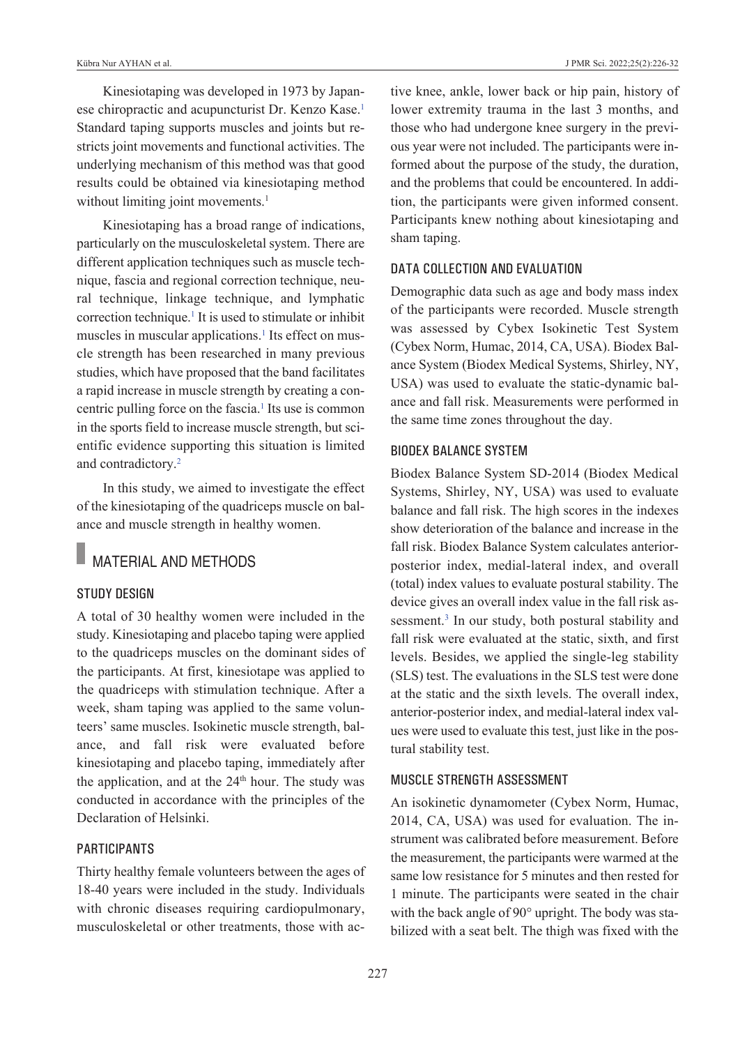Kinesiotaping was developed in 1973 by Japanese chiropractic and acupuncturist Dr. Kenzo Kase.<sup>1</sup> Standard taping supports muscles and joints but restricts joint movements and functional activities. The underlying mechanism of this method was that good results could be obtained via kinesiotaping method without limiting joint movements.<sup>1</sup>

Kinesiotaping has a broad range of indications, particularly on the musculoskeletal system. There are different application techniques such as muscle technique, fascia and regional correction technique, neural technique, linkage technique, and lymphatic correction technique.<sup>1</sup> It is used to stimulate or inhibit muscles in muscular applications.<sup>1</sup> Its effect on muscle strength has been researched in many previous studies, which have proposed that the band facilitates a rapid increase in muscle strength by creating a concentric pulling force on the fascia.<sup>1</sup> Its use is common in the sports field to increase muscle strength, but scientific evidence supporting this situation is limited and contradictory[.2](#page-6-0)

In this study, we aimed to investigate the effect of the kinesiotaping of the quadriceps muscle on balance and muscle strength in healthy women.

# MATERIAL AND METHODS

# Study deSign

A total of 30 healthy women were included in the study. Kinesiotaping and placebo taping were applied to the quadriceps muscles on the dominant sides of the participants. At first, kinesiotape was applied to the quadriceps with stimulation technique. After a week, sham taping was applied to the same volunteers' same muscles. Isokinetic muscle strength, balance, and fall risk were evaluated before kinesiotaping and placebo taping, immediately after the application, and at the 24<sup>th</sup> hour. The study was conducted in accordance with the principles of the Declaration of Helsinki.

## **PARTICIPANTS**

Thirty healthy female volunteers between the ages of 18-40 years were included in the study. Individuals with chronic diseases requiring cardiopulmonary, musculoskeletal or other treatments, those with active knee, ankle, lower back or hip pain, history of lower extremity trauma in the last 3 months, and those who had undergone knee surgery in the previous year were not included. The participants were informed about the purpose of the study, the duration, and the problems that could be encountered. In addition, the participants were given informed consent. Participants knew nothing about kinesiotaping and sham taping.

# data collection and evaluation

Demographic data such as age and body mass index of the participants were recorded. Muscle strength was assessed by Cybex Isokinetic Test System (Cybex Norm, Humac, 2014, CA, USA). Biodex Balance System (Biodex Medical Systems, Shirley, NY, USA) was used to evaluate the static-dynamic balance and fall risk. Measurements were performed in the same time zones throughout the day.

### Biodex Balance SyStem

Biodex Balance System SD-2014 (Biodex Medical Systems, Shirley, NY, USA) was used to evaluate balance and fall risk. The high scores in the indexes show deterioration of the balance and increase in the fall risk. Biodex Balance System calculates anteriorposterior index, medial-lateral index, and overall (total) index values to evaluate postural stability. The device gives an overall index value in the fall risk assessment.<sup>3</sup> In our study, both postural stability and fall risk were evaluated at the static, sixth, and first levels. Besides, we applied the single-leg stability (SLS) test. The evaluations in the SLS test were done at the static and the sixth levels. The overall index, anterior-posterior index, and medial-lateral index values were used to evaluate this test, just like in the postural stability test.

# muScle Strength aSSeSSment

An isokinetic dynamometer (Cybex Norm, Humac, 2014, CA, USA) was used for evaluation. The instrument was calibrated before measurement. Before the measurement, the participants were warmed at the same low resistance for 5 minutes and then rested for 1 minute. The participants were seated in the chair with the back angle of 90° upright. The body was stabilized with a seat belt. The thigh was fixed with the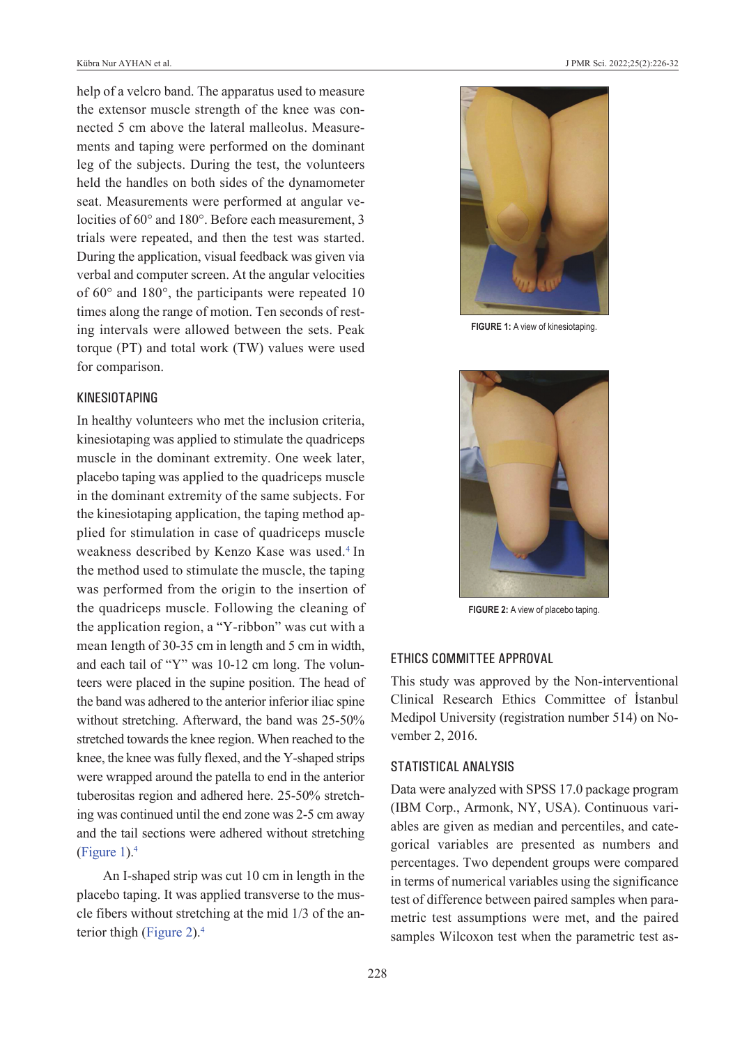help of a velcro band. The apparatus used to measure the extensor muscle strength of the knee was connected 5 cm above the lateral malleolus. Measurements and taping were performed on the dominant leg of the subjects. During the test, the volunteers held the handles on both sides of the dynamometer seat. Measurements were performed at angular velocities of 60° and 180°. Before each measurement, 3 trials were repeated, and then the test was started. During the application, visual feedback was given via verbal and computer screen. At the angular velocities of 60° and 180°, the participants were repeated 10 times along the range of motion. Ten seconds of resting intervals were allowed between the sets. Peak torque (PT) and total work (TW) values were used for comparison.

### KineSiotaPing

In healthy volunteers who met the inclusion criteria, kinesiotaping was applied to stimulate the quadriceps muscle in the dominant extremity. One week later, placebo taping was applied to the quadriceps muscle in the dominant extremity of the same subjects. For the kinesiotaping application, the taping method applied for stimulation in case of quadriceps muscle weakness described by Kenzo Kase was used[.4](#page-6-0) In the method used to stimulate the muscle, the taping was performed from the origin to the insertion of the quadriceps muscle. Following the cleaning of the application region, a "Y-ribbon" was cut with a mean length of 30-35 cm in length and 5 cm in width, and each tail of "Y" was 10-12 cm long. The volunteers were placed in the supine position. The head of the band was adhered to the anterior inferior iliac spine without stretching. Afterward, the band was 25-50% stretched towards the knee region. When reached to the knee, the knee was fully flexed, and the Y-shaped strips were wrapped around the patella to end in the anterior tuberositas region and adhered here. 25-50% stretching was continued until the end zone was 2-5 cm away and the tail sections were adhered without stretching [\(Figure 1\)](#page-2-0). $4$ 

An I-shaped strip was cut 10 cm in length in the placebo taping. It was applied transverse to the muscle fibers without stretching at the mid 1/3 of the anterior thigh [\(Figure 2\)](#page-2-1)[.4](#page-6-0)



**FIGURE 1:** A view of kinesiotaping.

<span id="page-2-1"></span><span id="page-2-0"></span>

**FIGURE 2:** A view of placebo taping.

#### ethicS committee aPProval

This study was approved by the Non-interventional Clinical Research Ethics Committee of İstanbul Medipol University (registration number 514) on November 2, 2016.

### STATISTICAL ANALYSIS

Data were analyzed with SPSS 17.0 package program (IBM Corp., Armonk, NY, USA). Continuous variables are given as median and percentiles, and categorical variables are presented as numbers and percentages. Two dependent groups were compared in terms of numerical variables using the significance test of difference between paired samples when parametric test assumptions were met, and the paired samples Wilcoxon test when the parametric test as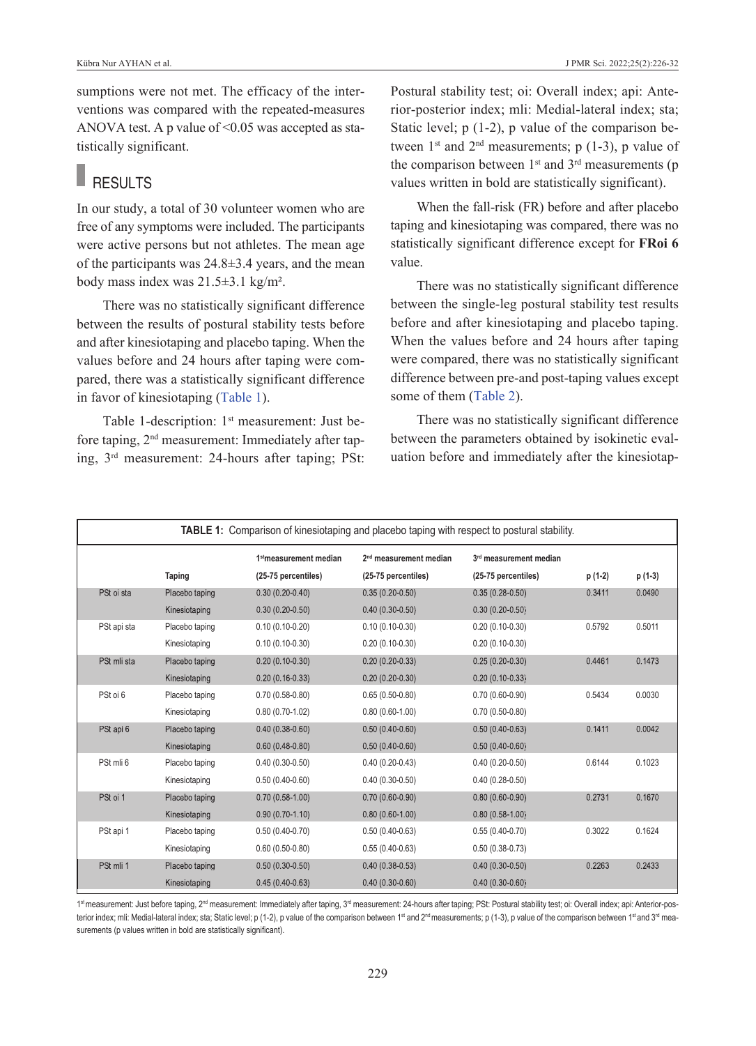sumptions were not met. The efficacy of the interventions was compared with the repeated-measures ANOVA test. A p value of <0.05 was accepted as statistically significant.

# **RESULTS**

In our study, a total of 30 volunteer women who are free of any symptoms were included. The participants were active persons but not athletes. The mean age of the participants was 24.8±3.4 years, and the mean body mass index was 21.5±3.1 kg/m².

There was no statistically significant difference between the results of postural stability tests before and after kinesiotaping and placebo taping. When the values before and 24 hours after taping were compared, there was a statistically significant difference in favor of kinesiotaping [\(Table 1\)](#page-3-0).

Table 1-description: 1<sup>st</sup> measurement: Just before taping, 2nd measurement: Immediately after taping, 3rd measurement: 24-hours after taping; PSt: Postural stability test; oi: Overall index; api: Anterior-posterior index; mli: Medial-lateral index; sta; Static level; p (1-2), p value of the comparison between  $1^{st}$  and  $2^{nd}$  measurements; p (1-3), p value of the comparison between  $1<sup>st</sup>$  and  $3<sup>rd</sup>$  measurements (p values written in bold are statistically significant).

When the fall-risk (FR) before and after placebo taping and kinesiotaping was compared, there was no statistically significant difference except for **FRoi 6** value.

There was no statistically significant difference between the single-leg postural stability test results before and after kinesiotaping and placebo taping. When the values before and 24 hours after taping were compared, there was no statistically significant difference between pre-and post-taping values except some of them [\(Table 2\)](#page-4-0).

<span id="page-3-0"></span>There was no statistically significant difference between the parameters obtained by isokinetic evaluation before and immediately after the kinesiotap-

|             |                | <b>TABLE 1:</b> Comparison of kinesiotaping and placebo taping with respect to postural stability. |                                                           |                                               |         |         |
|-------------|----------------|----------------------------------------------------------------------------------------------------|-----------------------------------------------------------|-----------------------------------------------|---------|---------|
|             | Taping         | 1 <sup>st</sup> measurement median<br>(25-75 percentiles)                                          | 2 <sup>nd</sup> measurement median<br>(25-75 percentiles) | 3rd measurement median<br>(25-75 percentiles) | p (1-2) | p (1-3) |
| PSt oi sta  | Placebo taping | $0.30(0.20-0.40)$                                                                                  | $0.35(0.20-0.50)$                                         | $0.35(0.28-0.50)$                             | 0.3411  | 0.0490  |
|             | Kinesiotaping  | $0.30(0.20-0.50)$                                                                                  | $0.40(0.30-0.50)$                                         | $0.30(0.20-0.50)$                             |         |         |
| PSt api sta | Placebo taping | $0.10(0.10-0.20)$                                                                                  | $0.10(0.10-0.30)$                                         | $0.20(0.10-0.30)$                             | 0.5792  | 0.5011  |
|             | Kinesiotaping  | $0.10(0.10-0.30)$                                                                                  | $0.20(0.10-0.30)$                                         | $0.20(0.10-0.30)$                             |         |         |
| PSt mli sta | Placebo taping | $0.20(0.10-0.30)$                                                                                  | $0.20(0.20-0.33)$                                         | $0.25(0.20-0.30)$                             | 0.4461  | 0.1473  |
|             | Kinesiotaping  | $0.20(0.16-0.33)$                                                                                  | $0.20(0.20-0.30)$                                         | $0.20(0.10 - 0.33)$                           |         |         |
| PSt oi 6    | Placebo taping | $0.70(0.58-0.80)$                                                                                  | $0.65(0.50-0.80)$                                         | $0.70(0.60-0.90)$                             | 0.5434  | 0.0030  |
|             | Kinesiotaping  | $0.80(0.70-1.02)$                                                                                  | $0.80(0.60-1.00)$                                         | $0.70(0.50-0.80)$                             |         |         |
| PSt api 6   | Placebo taping | $0.40(0.38-0.60)$                                                                                  | $0.50(0.40-0.60)$                                         | $0.50(0.40 - 0.63)$                           | 0.1411  | 0.0042  |
|             | Kinesiotaping  | $0.60(0.48-0.80)$                                                                                  | $0.50(0.40-0.60)$                                         | $0.50(0.40 - 0.60)$                           |         |         |
| PSt mli 6   | Placebo taping | $0.40(0.30-0.50)$                                                                                  | $0.40(0.20-0.43)$                                         | $0.40(0.20-0.50)$                             | 0.6144  | 0.1023  |
|             | Kinesiotaping  | $0.50(0.40-0.60)$                                                                                  | $0.40(0.30-0.50)$                                         | $0.40(0.28-0.50)$                             |         |         |
| PSt oi 1    | Placebo taping | $0.70(0.58-1.00)$                                                                                  | $0.70(0.60-0.90)$                                         | $0.80(0.60 - 0.90)$                           | 0.2731  | 0.1670  |
|             | Kinesiotaping  | $0.90(0.70-1.10)$                                                                                  | $0.80(0.60-1.00)$                                         | $0.80(0.58 - 1.00)$                           |         |         |
| PSt api 1   | Placebo taping | $0.50(0.40-0.70)$                                                                                  | $0.50(0.40-0.63)$                                         | $0.55(0.40-0.70)$                             | 0.3022  | 0.1624  |
|             | Kinesiotaping  | $0.60(0.50-0.80)$                                                                                  | $0.55(0.40-0.63)$                                         | $0.50(0.38-0.73)$                             |         |         |
| PSt mli 1   | Placebo taping | $0.50(0.30-0.50)$                                                                                  | $0.40(0.38-0.53)$                                         | $0.40(0.30 - 0.50)$                           | 0.2263  | 0.2433  |
|             | Kinesiotaping  | $0.45(0.40-0.63)$                                                                                  | $0.40(0.30-0.60)$                                         | $0.40(0.30-0.60)$                             |         |         |

1st measurement: Just before taping, 2<sup>nd</sup> measurement: Immediately after taping, 3<sup>rd</sup> measurement: 24-hours after taping; PSt: Postural stability test; oi: Overall index; api: Anterior-posterior index; mli: Medial-lateral index; sta; Static level; p (1-2), p value of the comparison between 1<sup>st</sup> and 2<sup>nd</sup> measurements; p (1-3), p value of the comparison between 1<sup>st</sup> and 3<sup>rd</sup> measurements (p values written in bold are statistically significant).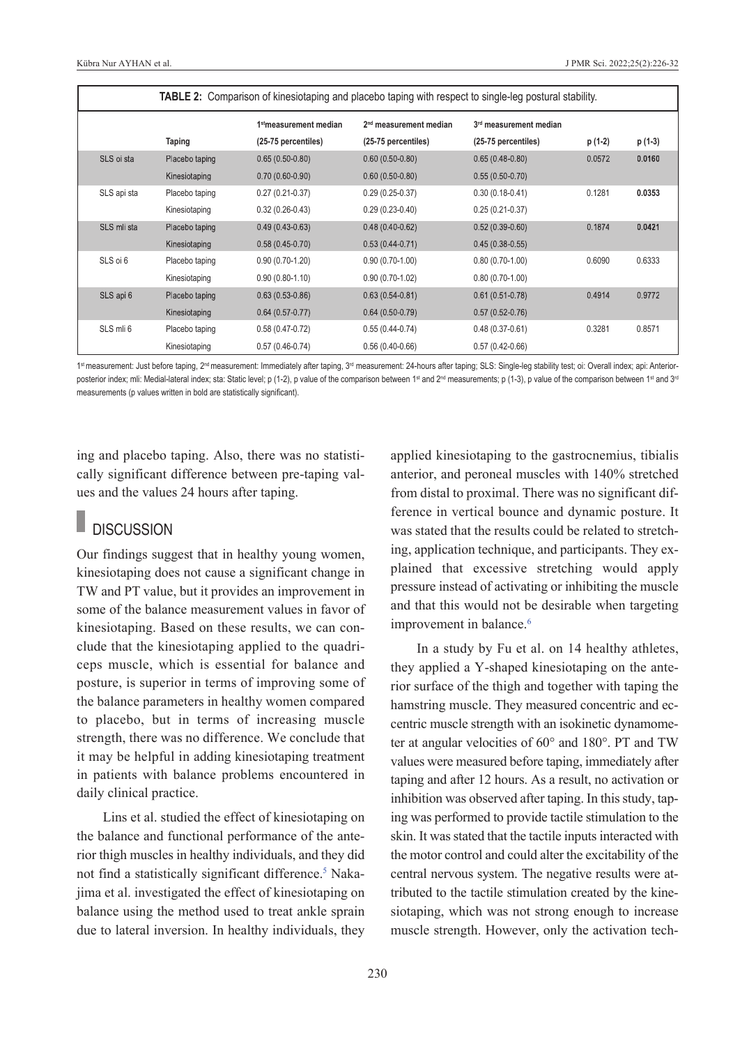|             | <b>TABLE 2:</b> Comparison of kinesiotaping and placebo taping with respect to single-leg postural stability. |                                    |                                    |                                    |         |         |  |  |  |
|-------------|---------------------------------------------------------------------------------------------------------------|------------------------------------|------------------------------------|------------------------------------|---------|---------|--|--|--|
|             |                                                                                                               | 1 <sup>st</sup> measurement median | 2 <sup>nd</sup> measurement median | 3 <sup>rd</sup> measurement median |         |         |  |  |  |
|             | Taping                                                                                                        | (25-75 percentiles)                | (25-75 percentiles)                | (25-75 percentiles)                | p (1-2) | p (1-3) |  |  |  |
| SLS oi sta  | Placebo taping                                                                                                | $0.65(0.50-0.80)$                  | $0.60(0.50 - 0.80)$                | $0.65(0.48-0.80)$                  | 0.0572  | 0.0160  |  |  |  |
|             | Kinesiotaping                                                                                                 | $0.70(0.60-0.90)$                  | $0.60(0.50-0.80)$                  | $0.55(0.50-0.70)$                  |         |         |  |  |  |
| SLS api sta | Placebo taping                                                                                                | $0.27(0.21-0.37)$                  | $0.29(0.25-0.37)$                  | $0.30(0.18-0.41)$                  | 0.1281  | 0.0353  |  |  |  |
|             | Kinesiotaping                                                                                                 | $0.32(0.26-0.43)$                  | $0.29(0.23-0.40)$                  | $0.25(0.21-0.37)$                  |         |         |  |  |  |
| SLS mli sta | Placebo taping                                                                                                | $0.49(0.43 - 0.63)$                | $0.48(0.40-0.62)$                  | $0.52(0.39-0.60)$                  | 0.1874  | 0.0421  |  |  |  |
|             | Kinesiotaping                                                                                                 | $0.58(0.45-0.70)$                  | $0.53(0.44-0.71)$                  | $0.45(0.38-0.55)$                  |         |         |  |  |  |
| SLS oi 6    | Placebo taping                                                                                                | $0.90(0.70-1.20)$                  | $0.90(0.70-1.00)$                  | $0.80(0.70-1.00)$                  | 0.6090  | 0.6333  |  |  |  |
|             | Kinesiotaping                                                                                                 | $0.90(0.80-1.10)$                  | $0.90(0.70-1.02)$                  | $0.80(0.70-1.00)$                  |         |         |  |  |  |
| SLS api 6   | Placebo taping                                                                                                | $0.63(0.53-0.86)$                  | $0.63(0.54-0.81)$                  | $0.61(0.51-0.78)$                  | 0.4914  | 0.9772  |  |  |  |
|             | Kinesiotaping                                                                                                 | $0.64(0.57-0.77)$                  | $0.64(0.50-0.79)$                  | $0.57(0.52-0.76)$                  |         |         |  |  |  |
| SLS mli 6   | Placebo taping                                                                                                | $0.58(0.47-0.72)$                  | $0.55(0.44-0.74)$                  | $0.48(0.37-0.61)$                  | 0.3281  | 0.8571  |  |  |  |
|             | Kinesiotaping                                                                                                 | $0.57(0.46-0.74)$                  | $0.56(0.40-0.66)$                  | $0.57(0.42-0.66)$                  |         |         |  |  |  |

1st measurement: Just before taping, 2<sup>nd</sup> measurement: Immediately after taping, 3<sup>rd</sup> measurement: 24-hours after taping; SLS: Single-leg stability test; oi: Overall index; api: Anteriorposterior index; mli: Medial-lateral index; sta: Static level; p (1-2), p value of the comparison between 1<sup>st</sup> and 2<sup>nd</sup> measurements; p (1-3), p value of the comparison between 1<sup>st</sup> and 3<sup>rd</sup> measurements (p values written in bold are statistically significant).

ing and placebo taping. Also, there was no statistically significant difference between pre-taping values and the values 24 hours after taping.

# **DISCUSSION**

Our findings suggest that in healthy young women, kinesiotaping does not cause a significant change in TW and PT value, but it provides an improvement in some of the balance measurement values in favor of kinesiotaping. Based on these results, we can conclude that the kinesiotaping applied to the quadriceps muscle, which is essential for balance and posture, is superior in terms of improving some of the balance parameters in healthy women compared to placebo, but in terms of increasing muscle strength, there was no difference. We conclude that it may be helpful in adding kinesiotaping treatment in patients with balance problems encountered in daily clinical practice.

Lins et al. studied the effect of kinesiotaping on the balance and functional performance of the anterior thigh muscles in healthy individuals, and they did not find a statistically significant difference.<sup>5</sup> Nakajima et al. investigated the effect of kinesiotaping on balance using the method used to treat ankle sprain due to lateral inversion. In healthy individuals, they

<span id="page-4-0"></span>applied kinesiotaping to the gastrocnemius, tibialis anterior, and peroneal muscles with 140% stretched from distal to proximal. There was no significant difference in vertical bounce and dynamic posture. It was stated that the results could be related to stretching, application technique, and participants. They explained that excessive stretching would apply pressure instead of activating or inhibiting the muscle and that this would not be desirable when targeting improvement in balance.<sup>6</sup>

In a study by Fu et al. on 14 healthy athletes, they applied a Y-shaped kinesiotaping on the anterior surface of the thigh and together with taping the hamstring muscle. They measured concentric and eccentric muscle strength with an isokinetic dynamometer at angular velocities of 60° and 180°. PT and TW values were measured before taping, immediately after taping and after 12 hours. As a result, no activation or inhibition was observed after taping. In this study, taping was performed to provide tactile stimulation to the skin. It was stated that the tactile inputs interacted with the motor control and could alter the excitability of the central nervous system. The negative results were attributed to the tactile stimulation created by the kinesiotaping, which was not strong enough to increase muscle strength. However, only the activation tech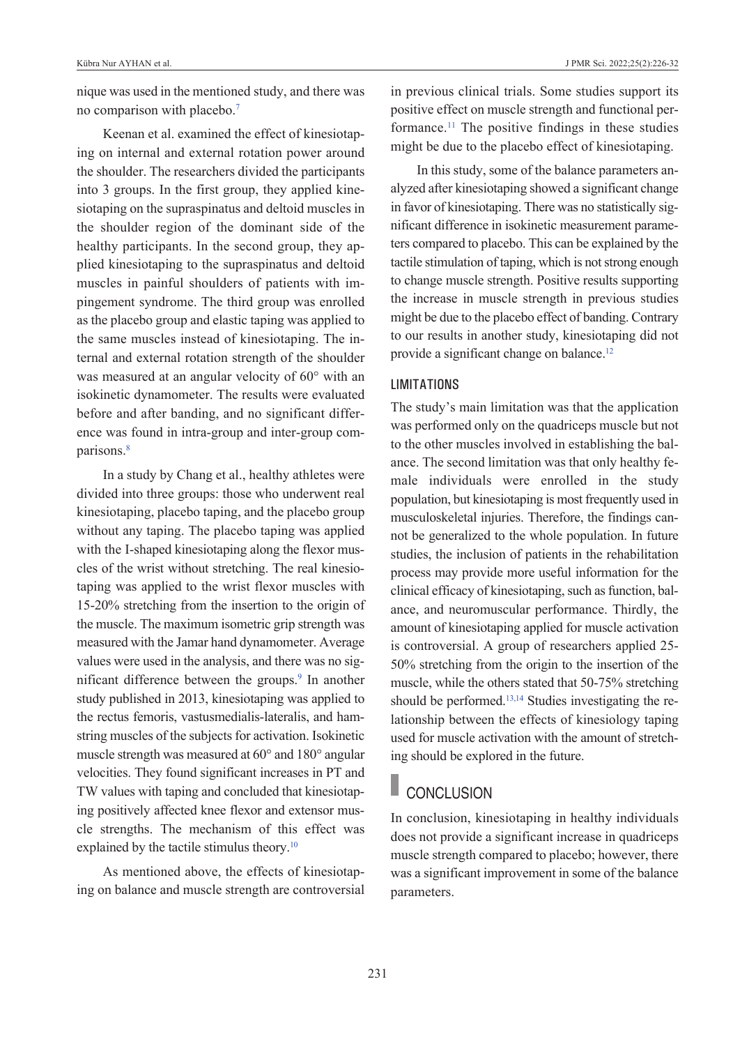nique was used in the mentioned study, and there was no comparison with placebo[.7](#page-6-0)

Keenan et al. examined the effect of kinesiotaping on internal and external rotation power around the shoulder. The researchers divided the participants into 3 groups. In the first group, they applied kinesiotaping on the supraspinatus and deltoid muscles in the shoulder region of the dominant side of the healthy participants. In the second group, they applied kinesiotaping to the supraspinatus and deltoid muscles in painful shoulders of patients with impingement syndrome. The third group was enrolled as the placebo group and elastic taping was applied to the same muscles instead of kinesiotaping. The internal and external rotation strength of the shoulder was measured at an angular velocity of 60° with an isokinetic dynamometer. The results were evaluated before and after banding, and no significant difference was found in intra-group and inter-group comparisons[.8](#page-6-0)

In a study by Chang et al., healthy athletes were divided into three groups: those who underwent real kinesiotaping, placebo taping, and the placebo group without any taping. The placebo taping was applied with the I-shaped kinesiotaping along the flexor muscles of the wrist without stretching. The real kinesiotaping was applied to the wrist flexor muscles with 15-20% stretching from the insertion to the origin of the muscle. The maximum isometric grip strength was measured with the Jamar hand dynamometer. Average values were used in the analysis, and there was no significant difference between the groups.<sup>9</sup> In another study published in 2013, kinesiotaping was applied to the rectus femoris, vastusmedialis-lateralis, and hamstring muscles of the subjects for activation. Isokinetic muscle strength was measured at 60° and 180° angular velocities. They found significant increases in PT and TW values with taping and concluded that kinesiotaping positively affected knee flexor and extensor muscle strengths. The mechanism of this effect was explained by the tactile stimulus theory.<sup>10</sup>

As mentioned above, the effects of kinesiotaping on balance and muscle strength are controversial

in previous clinical trials. Some studies support its positive effect on muscle strength and functional performance.<sup>11</sup> The positive findings in these studies might be due to the placebo effect of kinesiotaping.

In this study, some of the balance parameters analyzed after kinesiotaping showed a significant change in favor of kinesiotaping. There was no statistically significant difference in isokinetic measurement parameters compared to placebo. This can be explained by the tactile stimulation of taping, which is not strong enough to change muscle strength. Positive results supporting the increase in muscle strength in previous studies might be due to the placebo effect of banding. Contrary to our results in another study, kinesiotaping did not provide a significant change on balance.<sup>12</sup>

## **LIMITATIONS**

The study's main limitation was that the application was performed only on the quadriceps muscle but not to the other muscles involved in establishing the balance. The second limitation was that only healthy female individuals were enrolled in the study population, but kinesiotaping is most frequently used in musculoskeletal injuries. Therefore, the findings cannot be generalized to the whole population. In future studies, the inclusion of patients in the rehabilitation process may provide more useful information for the clinical efficacy of kinesiotaping, such as function, balance, and neuromuscular performance. Thirdly, the amount of kinesiotaping applied for muscle activation is controversial. A group of researchers applied 25- 50% stretching from the origin to the insertion of the muscle, while the others stated that 50-75% stretching should be performed[.13,14](#page-6-0) Studies investigating the relationship between the effects of kinesiology taping used for muscle activation with the amount of stretching should be explored in the future.

# **CONCLUSION**

In conclusion, kinesiotaping in healthy individuals does not provide a significant increase in quadriceps muscle strength compared to placebo; however, there was a significant improvement in some of the balance parameters.